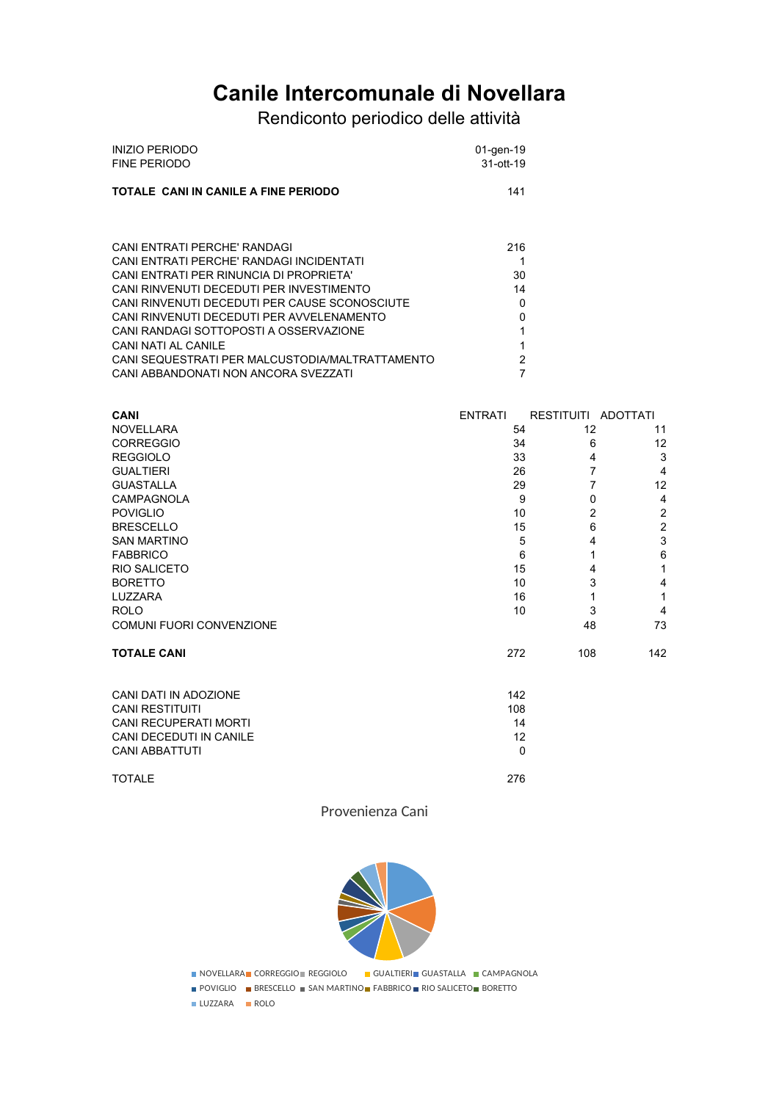# **Canile Intercomunale di Novellara**

Rendiconto periodico delle attività

| INIZIO PERIODO                       | 01-gen-19 |
|--------------------------------------|-----------|
| FINE PERIODO                         | 31-ott-19 |
| TOTALE CANI IN CANILE A FINE PERIODO | 141       |

| CANI ENTRATI PERCHE' RANDAGI                    | 216      |
|-------------------------------------------------|----------|
| CANI ENTRATI PERCHE' RANDAGI INCIDENTATI        | 1        |
| CANI ENTRATI PER RINUNCIA DI PROPRIETA'         | 30       |
| CANI RINVENUTI DECEDUTI PER INVESTIMENTO        | 14       |
| CANI RINVENUTI DECEDUTI PER CAUSE SCONOSCIUTE   | $\Omega$ |
| CANI RINVENUTI DECEDUTI PER AVVELENAMENTO       | 0        |
| CANI RANDAGI SOTTOPOSTI A OSSERVAZIONE          | 1        |
| CANI NATI AL CANILE                             | 1        |
| CANI SEQUESTRATI PER MALCUSTODIA/MALTRATTAMENTO | 2        |
| CANI ABBANDONATI NON ANCORA SVEZZATI            | 7        |

| <b>CANI</b>                     | <b>ENTRATI</b> | RESTITUITI ADOTTATI |     |
|---------------------------------|----------------|---------------------|-----|
| <b>NOVELLARA</b>                | 54             | 12                  | 11  |
| <b>CORREGGIO</b>                | 34             | 6                   | 12  |
| <b>REGGIOLO</b>                 | 33             | 4                   | 3   |
| <b>GUALTIERI</b>                | 26             | 7                   | 4   |
| <b>GUASTALLA</b>                | 29             |                     | 12  |
| <b>CAMPAGNOLA</b>               |                | 9<br>0              | 4   |
| <b>POVIGLIO</b>                 | 10             | $\overline{2}$      | 2   |
| <b>BRESCELLO</b>                | 15             | 6                   | 2   |
| <b>SAN MARTINO</b>              |                | 5<br>4              | 3   |
| <b>FABBRICO</b>                 |                | 6<br>1              | 6   |
| <b>RIO SALICETO</b>             | 15             | 4                   |     |
| <b>BORETTO</b>                  | 10             | 3                   | 4   |
| LUZZARA                         | 16             |                     |     |
| <b>ROLO</b>                     | 10             | 3                   | 4   |
| <b>COMUNI FUORI CONVENZIONE</b> |                | 48                  | 73  |
| <b>TOTALE CANI</b>              | 272            | 108                 | 142 |

| CANI DATI IN ADOZIONE   | 142 |
|-------------------------|-----|
| CANI RESTITUITI         | 108 |
| CANI RECUPERATI MORTI   | 14  |
| CANI DECEDUTI IN CANILE | 12  |
| CANI ABBATTUTI          | 0   |
| <b>TOTALE</b>           | 276 |

Provenienza Cani



**NOVELLARA CORREGGIO REGGIOLO CUALTIERI GUASTALLA CAMPAGNOLA** 

POVIGLIO BRESCELLO SAN MARTINO FABBRICO RIO SALICETO BORETTO

LUZZARA ROLO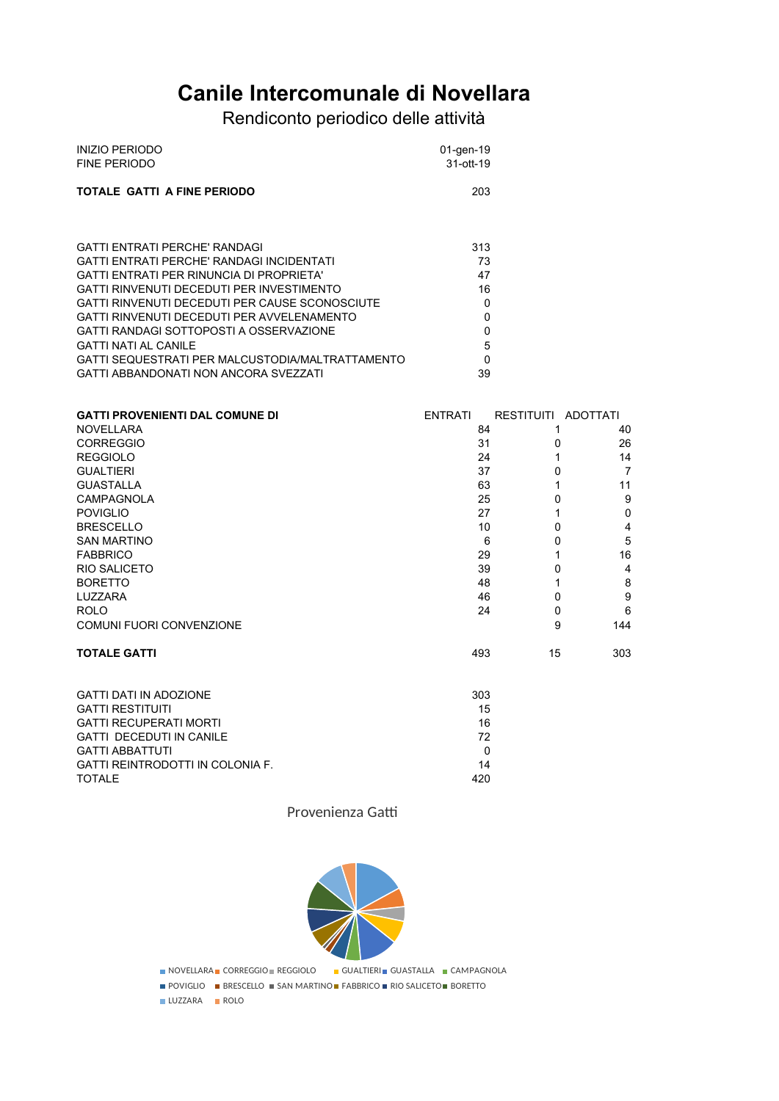## **Canile Intercomunale di Novellara**

## Rendiconto periodico delle attività

| <b>INIZIO PERIODO</b>       | 01-gen-19 |
|-----------------------------|-----------|
| FINE PERIODO                | 31-ott-19 |
| TOTALE GATTI A FINE PERIODO | 203       |

| <b>GATTI ENTRATI PERCHE' RANDAGI</b>             | 313 |
|--------------------------------------------------|-----|
| GATTI ENTRATI PERCHE' RANDAGI INCIDENTATI        | 73  |
| GATTI ENTRATI PER RINUNCIA DI PROPRIETA'         | 47  |
| <b>GATTI RINVENUTI DECEDUTI PER INVESTIMENTO</b> | 16  |
| GATTI RINVENUTI DECEDUTI PER CAUSE SCONOSCIUTE   | 0   |
| GATTI RINVENUTI DECEDUTI PER AVVELENAMENTO       |     |
| GATTI RANDAGI SOTTOPOSTI A OSSERVAZIONE          | 0   |
| <b>GATTI NATI AL CANILE</b>                      | 5   |
| GATTI SEQUESTRATI PER MALCUSTODIA/MALTRATTAMENTO | 0   |
| GATTI ABBANDONATI NON ANCORA SVEZZATI            | 39  |

| <b>GATTI PROVENIENTI DAL COMUNE DI</b> | <b>ENTRATI</b> | RESTITUITI ADOTTATI |     |
|----------------------------------------|----------------|---------------------|-----|
| <b>NOVELLARA</b>                       |                | 84<br>1             | 40  |
| <b>CORREGGIO</b>                       |                | 31<br>0             | 26  |
| <b>REGGIOLO</b>                        |                | 24<br>1             | 14  |
| <b>GUALTIERI</b>                       |                | 37<br>0             | 7   |
| <b>GUASTALLA</b>                       |                | 63                  | 11  |
| <b>CAMPAGNOLA</b>                      |                | 25<br>0             | 9   |
| <b>POVIGLIO</b>                        |                | 27                  | 0   |
| <b>BRESCELLO</b>                       |                | 10<br>0             | 4   |
| <b>SAN MARTINO</b>                     |                | 6<br>0              | 5   |
| <b>FABBRICO</b>                        |                | 29<br>1             | 16  |
| RIO SALICETO                           |                | 39<br>0             | 4   |
| <b>BORETTO</b>                         |                | 48<br>1             | 8   |
| LUZZARA                                |                | 46<br>0             | 9   |
| <b>ROLO</b>                            |                | 24<br>0             | 6   |
| COMUNI FUORI CONVENZIONE               |                | 9                   | 144 |
| <b>TOTALE GATTI</b>                    |                | 493<br>15           | 303 |
| <b>GATTI DATI IN ADOZIONE</b>          |                | 303                 |     |
| <b>GATTI RESTITUITI</b>                |                | 15                  |     |
| <b>GATTI RECUPERATI MORTI</b>          |                | 16                  |     |
| <b>GATTI DECEDUTI IN CANILE</b>        |                | 72                  |     |
| <b>GATTI ABBATTUTI</b>                 |                | 0                   |     |
| GATTI REINTRODOTTI IN COLONIA F.       |                | 14                  |     |

Provenienza Gatti

TOTALE 420



**NOVELLARA CORREGGIO REGGIOLO GUALTIERI GUASTALLA CAMPAGNOLA** 

**POVIGLIO** BRESCELLO SAN MARTINO FABBRICO RIO SALICETO BORETTO

**LUZZARA ROLO**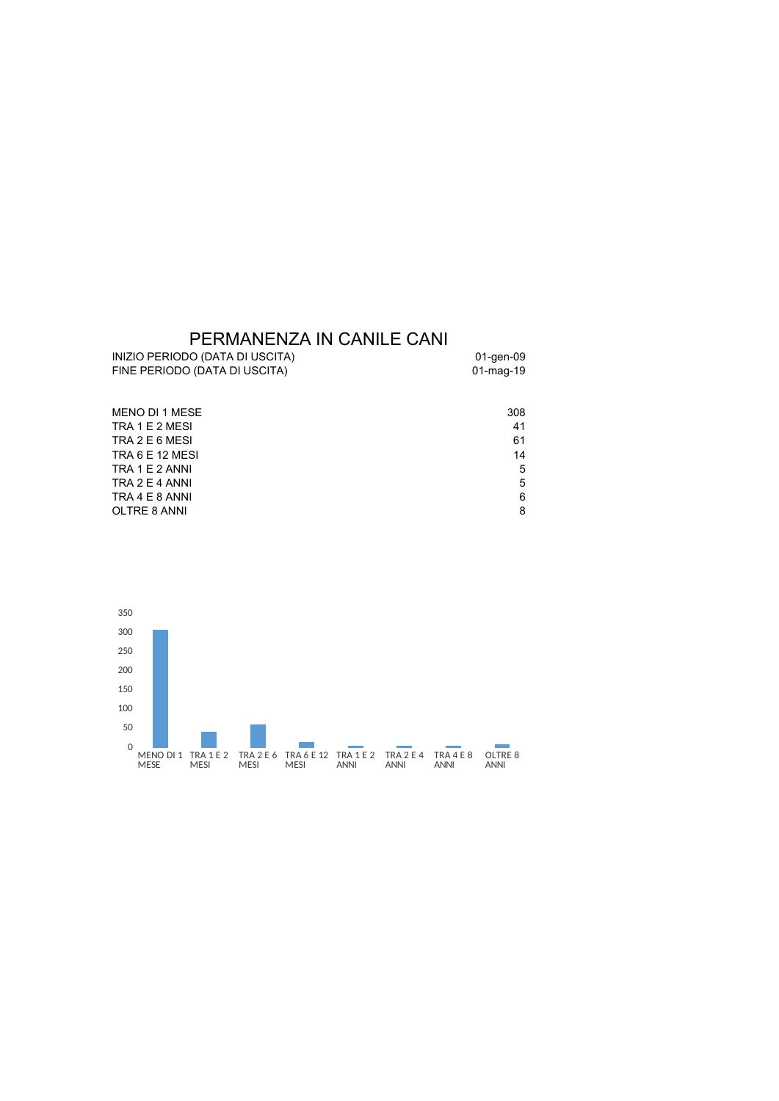### PERMANENZA IN CANILE CANI

| INIZIO PERIODO (DATA DI USCITA) | 01-gen-09 |
|---------------------------------|-----------|
| FINE PERIODO (DATA DI USCITA)   | 01-mag-19 |

| MENO DI 1 MESE  | 308 |
|-----------------|-----|
| TRA 1 E 2 MESI  | 41  |
| TRA 2 E 6 MESI  | 61  |
| TRA 6 E 12 MESI | 14  |
| TRA 1 E 2 ANNI  | 5   |
| TRA 2 E 4 ANNI  | 5   |
| TRA 4 E 8 ANNI  | 6   |
| OLTRE 8 ANNI    | 8   |
|                 |     |